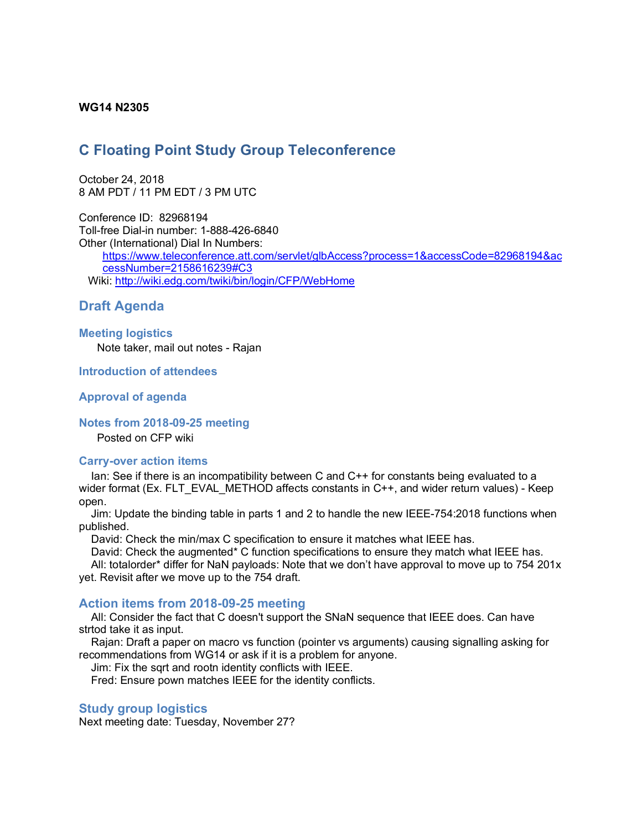### **WG14 N2305**

# **C Floating Point Study Group Teleconference**

October 24, 2018 8 AM PDT / 11 PM EDT / 3 PM UTC

Conference ID: 82968194 Toll-free Dial-in number: 1-888-426-6840 Other (International) Dial In Numbers:

https://www.teleconference.att.com/servlet/glbAccess?process=1&accessCode=82968194&ac cessNumber=2158616239#C3 Wiki: http://wiki.edg.com/twiki/bin/login/CFP/WebHome

## **Draft Agenda**

#### **Meeting logistics**

Note taker, mail out notes - Rajan

#### **Introduction of attendees**

#### **Approval of agenda**

#### **Notes from 2018-09-25 meeting**

Posted on CFP wiki

#### **Carry-over action items**

Ian: See if there is an incompatibility between C and C++ for constants being evaluated to a wider format (Ex. FLT\_EVAL\_METHOD affects constants in C++, and wider return values) - Keep open.

Jim: Update the binding table in parts 1 and 2 to handle the new IEEE-754:2018 functions when published.

David: Check the min/max C specification to ensure it matches what IEEE has.

David: Check the augmented\* C function specifications to ensure they match what IEEE has.

All: totalorder\* differ for NaN payloads: Note that we don't have approval to move up to 754 201x yet. Revisit after we move up to the 754 draft.

#### **Action items from 2018-09-25 meeting**

All: Consider the fact that C doesn't support the SNaN sequence that IEEE does. Can have strtod take it as input.

Rajan: Draft a paper on macro vs function (pointer vs arguments) causing signalling asking for recommendations from WG14 or ask if it is a problem for anyone.

Jim: Fix the sqrt and rootn identity conflicts with IEEE.

Fred: Ensure pown matches IEEE for the identity conflicts.

## **Study group logistics**

Next meeting date: Tuesday, November 27?